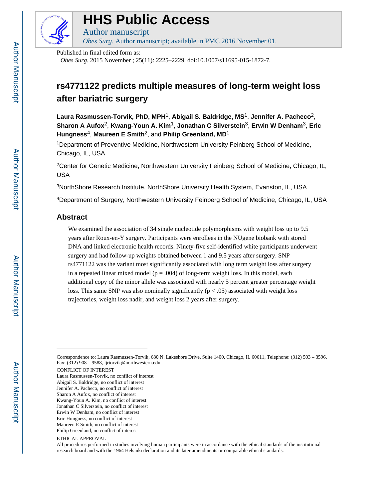

# **HHS Public Access**

Author manuscript *Obes Surg*. Author manuscript; available in PMC 2016 November 01.

Published in final edited form as:

*Obes Surg*. 2015 November ; 25(11): 2225–2229. doi:10.1007/s11695-015-1872-7.

# **rs4771122 predicts multiple measures of long-term weight loss after bariatric surgery**

**Laura Rasmussen-Torvik, PhD, MPH**1, **Abigail S. Baldridge, MS**1, **Jennifer A. Pacheco**2, **Sharon A Aufox**2, **Kwang-Youn A. Kim**1, **Jonathan C Silverstein**3, **Erwin W Denham**3, **Eric Hungness**4, **Maureen E Smith**2, and **Philip Greenland, MD**<sup>1</sup>

<sup>1</sup>Department of Preventive Medicine, Northwestern University Feinberg School of Medicine, Chicago, IL, USA

<sup>2</sup>Center for Genetic Medicine, Northwestern University Feinberg School of Medicine, Chicago, IL, USA

<sup>3</sup>NorthShore Research Institute, NorthShore University Health System, Evanston, IL, USA

<sup>4</sup>Department of Surgery, Northwestern University Feinberg School of Medicine, Chicago, IL, USA

# **Abstract**

We examined the association of 34 single nucleotide polymorphisms with weight loss up to 9.5 years after Roux-en-Y surgery. Participants were enrollees in the NUgene biobank with stored DNA and linked electronic health records. Ninety-five self-identified white participants underwent surgery and had follow-up weights obtained between 1 and 9.5 years after surgery. SNP rs4771122 was the variant most significantly associated with long term weight loss after surgery in a repeated linear mixed model ( $p = .004$ ) of long-term weight loss. In this model, each additional copy of the minor allele was associated with nearly 5 percent greater percentage weight loss. This same SNP was also nominally significantly ( $p < .05$ ) associated with weight loss trajectories, weight loss nadir, and weight loss 2 years after surgery.

CONFLICT OF INTEREST

Laura Rasmussen-Torvik, no conflict of interest

Jennifer A. Pacheco, no conflict of interest

Sharon A Aufox, no conflict of interest

Kwang-Youn A. Kim, no conflict of interest

Erwin W Denham, no conflict of interest Eric Hungness, no conflict of interest

Maureen E Smith, no conflict of interest

Philip Greenland, no conflict of interest

#### ETHICAL APPROVAL

Correspondence to: Laura Rasmussen-Torvik, 680 N. Lakeshore Drive, Suite 1400, Chicago, IL 60611, Telephone: (312) 503 – 3596, Fax:  $(312)$  908 – 9588, ljrtorvik@northwestern.edu.

Abigail S. Baldridge, no conflict of interest

Jonathan C Silverstein, no conflict of interest

All procedures performed in studies involving human participants were in accordance with the ethical standards of the institutional research board and with the 1964 Helsinki declaration and its later amendments or comparable ethical standards.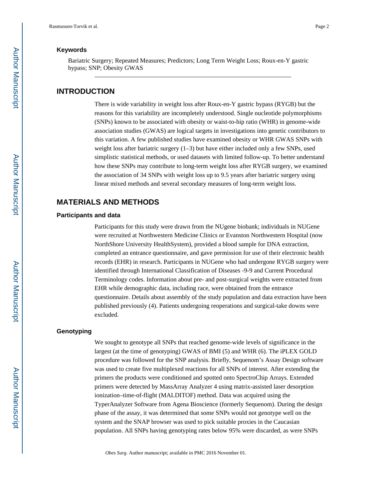### **Keywords**

Bariatric Surgery; Repeated Measures; Predictors; Long Term Weight Loss; Roux-en-Y gastric bypass; SNP; Obesity GWAS

# **INTRODUCTION**

There is wide variability in weight loss after Roux-en-Y gastric bypass (RYGB) but the reasons for this variability are incompletely understood. Single nucleotide polymorphisms (SNPs) known to be associated with obesity or waist-to-hip ratio (WHR) in genome-wide association studies (GWAS) are logical targets in investigations into genetic contributors to this variation. A few published studies have examined obesity or WHR GWAS SNPs with weight loss after bariatric surgery (1–3) but have either included only a few SNPs, used simplistic statistical methods, or used datasets with limited follow-up. To better understand how these SNPs may contribute to long-term weight loss after RYGB surgery, we examined the association of 34 SNPs with weight loss up to 9.5 years after bariatric surgery using linear mixed methods and several secondary measures of long-term weight loss.

# **MATERIALS AND METHODS**

#### **Participants and data**

Participants for this study were drawn from the NUgene biobank; individuals in NUGene were recruited at Northwestern Medicine Clinics or Evanston Northwestern Hospital (now NorthShore University HealthSystem), provided a blood sample for DNA extraction, completed an entrance questionnaire, and gave permission for use of their electronic health records (EHR) in research. Participants in NUGene who had undergone RYGB surgery were identified through International Classification of Diseases -9-9 and Current Procedural Terminology codes. Information about pre- and post-surgical weights were extracted from EHR while demographic data, including race, were obtained from the entrance questionnaire. Details about assembly of the study population and data extraction have been published previously (4). Patients undergoing reoperations and surgical-take downs were excluded.

#### **Genotyping**

We sought to genotype all SNPs that reached genome-wide levels of significance in the largest (at the time of genotyping) GWAS of BMI (5) and WHR (6). The iPLEX GOLD procedure was followed for the SNP analysis. Briefly, Sequenom's Assay Design software was used to create five multiplexed reactions for all SNPs of interest. After extending the primers the products were conditioned and spotted onto SpectroChip Arrays. Extended primers were detected by MassArray Analyzer 4 using matrix-assisted laser desorption ionization–time-of-flight (MALDITOF) method. Data was acquired using the TyperAnalyzer Software from Agena Bioscience (formerly Sequenom). During the design phase of the assay, it was determined that some SNPs would not genotype well on the system and the SNAP browser was used to pick suitable proxies in the Caucasian population. All SNPs having genotyping rates below 95% were discarded, as were SNPs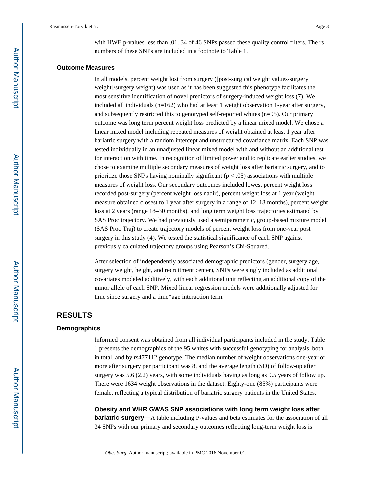with HWE p-values less than  $.01.34$  of 46 SNPs passed these quality control filters. The rs numbers of these SNPs are included in a footnote to Table 1.

#### **Outcome Measures**

In all models, percent weight lost from surgery ([post-surgical weight values-surgery weight]/surgery weight) was used as it has been suggested this phenotype facilitates the most sensitive identification of novel predictors of surgery-induced weight loss (7). We included all individuals (n=162) who had at least 1 weight observation 1-year after surgery, and subsequently restricted this to genotyped self-reported whites (n=95). Our primary outcome was long term percent weight loss predicted by a linear mixed model. We chose a linear mixed model including repeated measures of weight obtained at least 1 year after bariatric surgery with a random intercept and unstructured covariance matrix. Each SNP was tested individually in an unadjusted linear mixed model with and without an additional test for interaction with time. In recognition of limited power and to replicate earlier studies, we chose to examine multiple secondary measures of weight loss after bariatric surgery, and to prioritize those SNPs having nominally significant ( $p < .05$ ) associations with multiple measures of weight loss. Our secondary outcomes included lowest percent weight loss recorded post-surgery (percent weight loss nadir), percent weight loss at 1 year (weight measure obtained closest to 1 year after surgery in a range of 12–18 months), percent weight loss at 2 years (range 18–30 months), and long term weight loss trajectories estimated by SAS Proc trajectory. We had previously used a semiparametric, group-based mixture model (SAS Proc Traj) to create trajectory models of percent weight loss from one-year post surgery in this study (4). We tested the statistical significance of each SNP against previously calculated trajectory groups using Pearson's Chi-Squared.

After selection of independently associated demographic predictors (gender, surgery age, surgery weight, height, and recruitment center), SNPs were singly included as additional covariates modeled additively, with each additional unit reflecting an additional copy of the minor allele of each SNP. Mixed linear regression models were additionally adjusted for time since surgery and a time\*age interaction term.

# **RESULTS**

#### **Demographics**

Informed consent was obtained from all individual participants included in the study. Table 1 presents the demographics of the 95 whites with successful genotyping for analysis, both in total, and by rs477112 genotype. The median number of weight observations one-year or more after surgery per participant was 8, and the average length (SD) of follow-up after surgery was 5.6 (2.2) years, with some individuals having as long as 9.5 years of follow up. There were 1634 weight observations in the dataset. Eighty-one (85%) participants were female, reflecting a typical distribution of bariatric surgery patients in the United States.

**Obesity and WHR GWAS SNP associations with long term weight loss after bariatric surgery—**A table including P-values and beta estimates for the association of all 34 SNPs with our primary and secondary outcomes reflecting long-term weight loss is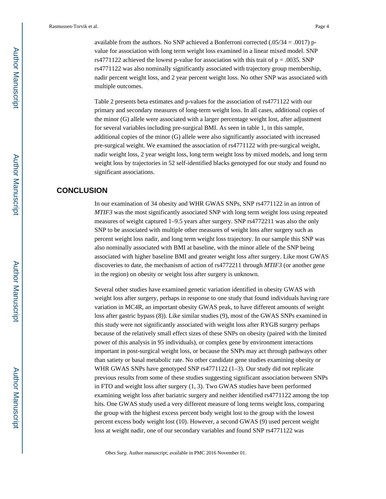available from the authors. No SNP achieved a Bonferroni corrected  $(.05/34 = .0017)$  pvalue for association with long term weight loss examined in a linear mixed model. SNP rs4771122 achieved the lowest p-value for association with this trait of  $p = .0035$ . SNP rs4771122 was also nominally significantly associated with trajectory group membership, nadir percent weight loss, and 2 year percent weight loss. No other SNP was associated with multiple outcomes.

Table 2 presents beta estimates and p-values for the association of rs4771122 with our primary and secondary measures of long-term weight loss. In all cases, additional copies of the minor (G) allele were associated with a larger percentage weight lost, after adjustment for several variables including pre-surgical BMI. As seen in table 1, in this sample, additional copies of the minor (G) allele were also significantly associated with increased pre-surgical weight. We examined the association of rs4771122 with pre-surgical weight, nadir weight loss, 2 year weight loss, long term weight loss by mixed models, and long term weight loss by trajectories in 52 self-identified blacks genotyped for our study and found no significant associations.

# **CONCLUSION**

In our examination of 34 obesity and WHR GWAS SNPs, SNP rs4771122 in an intron of *MTIF3* was the most significantly associated SNP with long term weight loss using repeated measures of weight captured 1–9.5 years after surgery. SNP rs4772211 was also the only SNP to be associated with multiple other measures of weight loss after surgery such as percent weight loss nadir, and long term weight loss trajectory. In our sample this SNP was also nominally associated with BMI at baseline, with the minor allele of the SNP being associated with higher baseline BMI and greater weight loss after surgery. Like most GWAS discoveries to date, the mechanism of action of rs4772211 through *MTIF3* (or another gene in the region) on obesity or weight loss after surgery is unknown.

Several other studies have examined genetic variation identified in obesity GWAS with weight loss after surgery, perhaps in response to one study that found individuals having rare variation in MC4R, an important obesity GWAS peak, to have different amounts of weight loss after gastric bypass (8)). Like similar studies (9), most of the GWAS SNPs examined in this study were not significantly associated with weight loss after RYGB surgery perhaps because of the relatively small effect sizes of these SNPs on obesity (paired with the limited power of this analysis in 95 individuals), or complex gene by environment interactions important in post-surgical weight loss, or because the SNPs may act through pathways other than satiety or basal metabolic rate. No other candidate gene studies examining obesity or WHR GWAS SNPs have genotyped SNP rs4771122 (1–3). Our study did not replicate previous results from some of these studies suggesting significant association between SNPs in FTO and weight loss after surgery (1, 3). Two GWAS studies have been performed examining weight loss after bariatric surgery and neither identified rs4771122 among the top hits. One GWAS study used a very different measure of long terms weight loss, comparing the group with the highest excess percent body weight lost to the group with the lowest percent excess body weight lost (10). However, a second GWAS (9) used percent weight loss at weight nadir, one of our secondary variables and found SNP rs4771122 was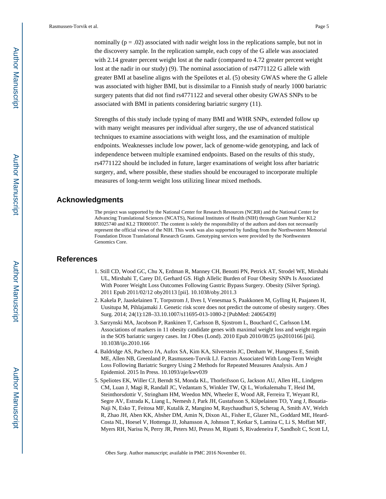nominally  $(p = .02)$  associated with nadir weight loss in the replications sample, but not in the discovery sample. In the replication sample, each copy of the G allele was associated with 2.14 greater percent weight lost at the nadir (compared to 4.72 greater percent weight lost at the nadir in our study) (9). The nominal association of rs4771122 G allele with greater BMI at baseline aligns with the Speilotes et al. (5) obesity GWAS where the G allele was associated with higher BMI, but is dissimilar to a Finnish study of nearly 1000 bariatric surgery patents that did not find rs4771122 and several other obesity GWAS SNPs to be associated with BMI in patients considering bariatric surgery (11).

Strengths of this study include typing of many BMI and WHR SNPs, extended follow up with many weight measures per individual after surgery, the use of advanced statistical techniques to examine associations with weight loss, and the examination of multiple endpoints. Weaknesses include low power, lack of genome-wide genotyping, and lack of independence between multiple examined endpoints. Based on the results of this study, rs4771122 should be included in future, larger examinations of weight loss after bariatric surgery, and, where possible, these studies should be encouraged to incorporate multiple measures of long-term weight loss utilizing linear mixed methods.

## **Acknowledgments**

The project was supported by the National Center for Research Resources (NCRR) and the National Center for Advancing Translational Sciences (NCATS), National Institutes of Health (NIH) through Grant Number KL2 RR025740 and KL2 TR000107. The content is solely the responsibility of the authors and does not necessarily represent the official views of the NIH. This work was also supported by funding from the Northwestern Memorial Foundation Dixon Translational Research Grants. Genotyping services were provided by the Northwestern Genomics Core.

## **References**

- 1. Still CD, Wood GC, Chu X, Erdman R, Manney CH, Benotti PN, Petrick AT, Strodel WE, Mirshahi UL, Mirshahi T, Carey DJ, Gerhard GS. High Allelic Burden of Four Obesity SNPs Is Associated With Poorer Weight Loss Outcomes Following Gastric Bypass Surgery. Obesity (Silver Spring). 2011 Epub 2011/02/12 oby20113 [pii]. 10.1038/oby.2011.3
- 2. Kakela P, Jaaskelainen T, Torpstrom J, Ilves I, Venesmaa S, Paakkonen M, Gylling H, Paajanen H, Uusitupa M, Pihlajamaki J. Genetic risk score does not predict the outcome of obesity surgery. Obes Surg. 2014; 24(1):128–33.10.1007/s11695-013-1080-2 [PubMed: 24065439]
- 3. Sarzynski MA, Jacobson P, Rankinen T, Carlsson B, Sjostrom L, Bouchard C, Carlsson LM. Associations of markers in 11 obesity candidate genes with maximal weight loss and weight regain in the SOS bariatric surgery cases. Int J Obes (Lond). 2010 Epub 2010/08/25 ijo2010166 [pii]. 10.1038/ijo.2010.166
- 4. Baldridge AS, Pacheco JA, Aufox SA, Kim KA, Silverstein JC, Denham W, Hungness E, Smith ME, Allen NB, Greenland P, Rasmussen-Torvik LJ. Factors Associated With Long-Term Weight Loss Following Bariatric Surgery Using 2 Methods for Repeated Measures Analysis. Am J Epidemiol. 2015 In Press. 10.1093/aje/kwv039
- 5. Speliotes EK, Willer CJ, Berndt SI, Monda KL, Thorleifsson G, Jackson AU, Allen HL, Lindgren CM, Luan J, Magi R, Randall JC, Vedantam S, Winkler TW, Qi L, Workalemahu T, Heid IM, Steinthorsdottir V, Stringham HM, Weedon MN, Wheeler E, Wood AR, Ferreira T, Weyant RJ, Segre AV, Estrada K, Liang L, Nemesh J, Park JH, Gustafsson S, Kilpelainen TO, Yang J, Bouatia-Naji N, Esko T, Feitosa MF, Kutalik Z, Mangino M, Raychaudhuri S, Scherag A, Smith AV, Welch R, Zhao JH, Aben KK, Absher DM, Amin N, Dixon AL, Fisher E, Glazer NL, Goddard ME, Heard-Costa NL, Hoesel V, Hottenga JJ, Johansson A, Johnson T, Ketkar S, Lamina C, Li S, Moffatt MF, Myers RH, Narisu N, Perry JR, Peters MJ, Preuss M, Ripatti S, Rivadeneira F, Sandholt C, Scott LJ,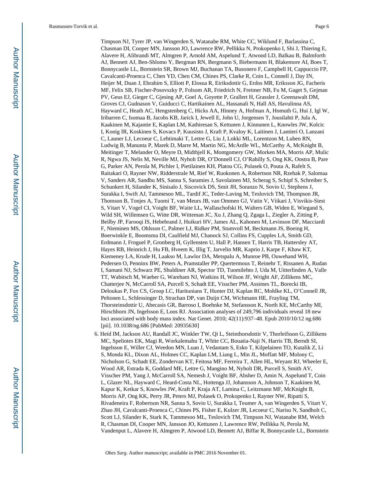Timpson NJ, Tyrer JP, van Wingerden S, Watanabe RM, White CC, Wiklund F, Barlassina C, Chasman DI, Cooper MN, Jansson JO, Lawrence RW, Pellikka N, Prokopenko I, Shi J, Thiering E, Alavere H, Alibrandi MT, Almgren P, Arnold AM, Aspelund T, Atwood LD, Balkau B, Balmforth AJ, Bennett AJ, Ben-Shlomo Y, Bergman RN, Bergmann S, Biebermann H, Blakemore AI, Boes T, Bonnycastle LL, Bornstein SR, Brown MJ, Buchanan TA, Busonero F, Campbell H, Cappuccio FP, Cavalcanti-Proenca C, Chen YD, Chen CM, Chines PS, Clarke R, Coin L, Connell J, Day IN, Heijer M, Duan J, Ebrahim S, Elliott P, Elosua R, Eiriksdottir G, Erdos MR, Eriksson JG, Facheris MF, Felix SB, Fischer-Posovszky P, Folsom AR, Friedrich N, Freimer NB, Fu M, Gaget S, Gejman PV, Geus EJ, Gieger C, Gjesing AP, Goel A, Goyette P, Grallert H, Grassler J, Greenawalt DM, Groves CJ, Gudnason V, Guiducci C, Hartikainen AL, Hassanali N, Hall AS, Havulinna AS, Hayward C, Heath AC, Hengstenberg C, Hicks AA, Hinney A, Hofman A, Homuth G, Hui J, Igl W, Iribarren C, Isomaa B, Jacobs KB, Jarick I, Jewell E, John U, Jorgensen T, Jousilahti P, Jula A, Kaakinen M, Kajantie E, Kaplan LM, Kathiresan S, Kettunen J, Kinnunen L, Knowles JW, Kolcic I, Konig IR, Koskinen S, Kovacs P, Kuusisto J, Kraft P, Kvaloy K, Laitinen J, Lantieri O, Lanzani C, Launer LJ, Lecoeur C, Lehtimaki T, Lettre G, Liu J, Lokki ML, Lorentzon M, Luben RN, Ludwig B, Manunta P, Marek D, Marre M, Martin NG, McArdle WL, McCarthy A, McKnight B, Meitinger T, Melander O, Meyre D, Midthjell K, Montgomery GW, Morken MA, Morris AP, Mulic R, Ngwa JS, Nelis M, Neville MJ, Nyholt DR, O'Donnell CJ, O'Rahilly S, Ong KK, Oostra B, Pare G, Parker AN, Perola M, Pichler I, Pietilainen KH, Platou CG, Polasek O, Pouta A, Rafelt S, Raitakari O, Rayner NW, Ridderstrale M, Rief W, Ruokonen A, Robertson NR, Rzehak P, Salomaa V, Sanders AR, Sandhu MS, Sanna S, Saramies J, Savolainen MJ, Scherag S, Schipf S, Schreiber S, Schunkert H, Silander K, Sinisalo J, Siscovick DS, Smit JH, Soranzo N, Sovio U, Stephens J, Surakka I, Swift AJ, Tammesoo ML, Tardif JC, Teder-Laving M, Teslovich TM, Thompson JR, Thomson B, Tonjes A, Tuomi T, van Meurs JB, van Ommen GJ, Vatin V, Viikari J, Visvikis-Siest S, Vitart V, Vogel CI, Voight BF, Waite LL, Wallaschofski H, Walters GB, Widen E, Wiegand S, Wild SH, Willemsen G, Witte DR, Witteman JC, Xu J, Zhang Q, Zgaga L, Ziegler A, Zitting P, Beilby JP, Farooqi IS, Hebebrand J, Huikuri HV, James AL, Kahonen M, Levinson DF, Macciardi F, Nieminen MS, Ohlsson C, Palmer LJ, Ridker PM, Stumvoll M, Beckmann JS, Boeing H, Boerwinkle E, Boomsma DI, Caulfield MJ, Chanock SJ, Collins FS, Cupples LA, Smith GD, Erdmann J, Froguel P, Gronberg H, Gyllensten U, Hall P, Hansen T, Harris TB, Hattersley AT, Hayes RB, Heinrich J, Hu FB, Hveem K, Illig T, Jarvelin MR, Kaprio J, Karpe F, Khaw KT, Kiemeney LA, Krude H, Laakso M, Lawlor DA, Metspalu A, Munroe PB, Ouwehand WH, Pedersen O, Penninx BW, Peters A, Pramstaller PP, Quertermous T, Reinehr T, Rissanen A, Rudan I, Samani NJ, Schwarz PE, Shuldiner AR, Spector TD, Tuomilehto J, Uda M, Uitterlinden A, Valle TT, Wabitsch M, Waeber G, Wareham NJ, Watkins H, Wilson JF, Wright AF, Zillikens MC, Chatterjee N, McCarroll SA, Purcell S, Schadt EE, Visscher PM, Assimes TL, Borecki IB, Deloukas P, Fox CS, Groop LC, Haritunians T, Hunter DJ, Kaplan RC, Mohlke KL, O'Connell JR, Peltonen L, Schlessinger D, Strachan DP, van Duijn CM, Wichmann HE, Frayling TM, Thorsteinsdottir U, Abecasis GR, Barroso I, Boehnke M, Stefansson K, North KE, McCarthy MI, Hirschhorn JN, Ingelsson E, Loos RJ. Association analyses of 249,796 individuals reveal 18 new loci associated with body mass index. Nat Genet. 2010; 42(11):937–48. Epub 2010/10/12 ng.686 [pii]. 10.1038/ng.686 [PubMed: 20935630]

6. Heid IM, Jackson AU, Randall JC, Winkler TW, Qi L, Steinthorsdottir V, Thorleifsson G, Zillikens MC, Speliotes EK, Magi R, Workalemahu T, White CC, Bouatia-Naji N, Harris TB, Berndt SI, Ingelsson E, Willer CJ, Weedon MN, Luan J, Vedantam S, Esko T, Kilpelainen TO, Kutalik Z, Li S, Monda KL, Dixon AL, Holmes CC, Kaplan LM, Liang L, Min JL, Moffatt MF, Molony C, Nicholson G, Schadt EE, Zondervan KT, Feitosa MF, Ferreira T, Allen HL, Weyant RJ, Wheeler E, Wood AR, Estrada K, Goddard ME, Lettre G, Mangino M, Nyholt DR, Purcell S, Smith AV, Visscher PM, Yang J, McCarroll SA, Nemesh J, Voight BF, Absher D, Amin N, Aspelund T, Coin L, Glazer NL, Hayward C, Heard-Costa NL, Hottenga JJ, Johansson A, Johnson T, Kaakinen M, Kapur K, Ketkar S, Knowles JW, Kraft P, Kraja AT, Lamina C, Leitzmann MF, McKnight B, Morris AP, Ong KK, Perry JR, Peters MJ, Polasek O, Prokopenko I, Rayner NW, Ripatti S, Rivadeneira F, Robertson NR, Sanna S, Sovio U, Surakka I, Teumer A, van Wingerden S, Vitart V, Zhao JH, Cavalcanti-Proenca C, Chines PS, Fisher E, Kulzer JR, Lecoeur C, Narisu N, Sandholt C, Scott LJ, Silander K, Stark K, Tammesoo ML, Teslovich TM, Timpson NJ, Watanabe RM, Welch R, Chasman DI, Cooper MN, Jansson JO, Kettunen J, Lawrence RW, Pellikka N, Perola M, Vandenput L, Alavere H, Almgren P, Atwood LD, Bennett AJ, Biffar R, Bonnycastle LL, Bornstein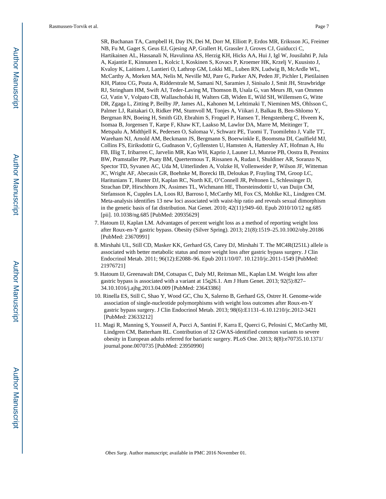SR, Buchanan TA, Campbell H, Day IN, Dei M, Dorr M, Elliott P, Erdos MR, Eriksson JG, Freimer NB, Fu M, Gaget S, Geus EJ, Gjesing AP, Grallert H, Grassler J, Groves CJ, Guiducci C, Hartikainen AL, Hassanali N, Havulinna AS, Herzig KH, Hicks AA, Hui J, Igl W, Jousilahti P, Jula A, Kajantie E, Kinnunen L, Kolcic I, Koskinen S, Kovacs P, Kroemer HK, Krzelj V, Kuusisto J, Kvaloy K, Laitinen J, Lantieri O, Lathrop GM, Lokki ML, Luben RN, Ludwig B, McArdle WL, McCarthy A, Morken MA, Nelis M, Neville MJ, Pare G, Parker AN, Peden JF, Pichler I, Pietilainen KH, Platou CG, Pouta A, Ridderstrale M, Samani NJ, Saramies J, Sinisalo J, Smit JH, Strawbridge RJ, Stringham HM, Swift AJ, Teder-Laving M, Thomson B, Usala G, van Meurs JB, van Ommen GJ, Vatin V, Volpato CB, Wallaschofski H, Walters GB, Widen E, Wild SH, Willemsen G, Witte DR, Zgaga L, Zitting P, Beilby JP, James AL, Kahonen M, Lehtimaki T, Nieminen MS, Ohlsson C, Palmer LJ, Raitakari O, Ridker PM, Stumvoll M, Tonjes A, Viikari J, Balkau B, Ben-Shlomo Y, Bergman RN, Boeing H, Smith GD, Ebrahim S, Froguel P, Hansen T, Hengstenberg C, Hveem K, Isomaa B, Jorgensen T, Karpe F, Khaw KT, Laakso M, Lawlor DA, Marre M, Meitinger T, Metspalu A, Midthjell K, Pedersen O, Salomaa V, Schwarz PE, Tuomi T, Tuomilehto J, Valle TT, Wareham NJ, Arnold AM, Beckmann JS, Bergmann S, Boerwinkle E, Boomsma DI, Caulfield MJ, Collins FS, Eiriksdottir G, Gudnason V, Gyllensten U, Hamsten A, Hattersley AT, Hofman A, Hu FB, Illig T, Iribarren C, Jarvelin MR, Kao WH, Kaprio J, Launer LJ, Munroe PB, Oostra B, Penninx BW, Pramstaller PP, Psaty BM, Quertermous T, Rissanen A, Rudan I, Shuldiner AR, Soranzo N, Spector TD, Syvanen AC, Uda M, Uitterlinden A, Volzke H, Vollenweider P, Wilson JF, Witteman JC, Wright AF, Abecasis GR, Boehnke M, Borecki IB, Deloukas P, Frayling TM, Groop LC, Haritunians T, Hunter DJ, Kaplan RC, North KE, O'Connell JR, Peltonen L, Schlessinger D, Strachan DP, Hirschhorn JN, Assimes TL, Wichmann HE, Thorsteinsdottir U, van Duijn CM, Stefansson K, Cupples LA, Loos RJ, Barroso I, McCarthy MI, Fox CS, Mohlke KL, Lindgren CM. Meta-analysis identifies 13 new loci associated with waist-hip ratio and reveals sexual dimorphism in the genetic basis of fat distribution. Nat Genet. 2010; 42(11):949–60. Epub 2010/10/12 ng.685 [pii]. 10.1038/ng.685 [PubMed: 20935629]

- 7. Hatoum IJ, Kaplan LM. Advantages of percent weight loss as a method of reporting weight loss after Roux-en-Y gastric bypass. Obesity (Silver Spring). 2013; 21(8):1519–25.10.1002/oby.20186 [PubMed: 23670991]
- 8. Mirshahi UL, Still CD, Masker KK, Gerhard GS, Carey DJ, Mirshahi T. The MC4R(I251L) allele is associated with better metabolic status and more weight loss after gastric bypass surgery. J Clin Endocrinol Metab. 2011; 96(12):E2088–96. Epub 2011/10/07. 10.1210/jc.2011-1549 [PubMed: 21976721]
- 9. Hatoum IJ, Greenawalt DM, Cotsapas C, Daly MJ, Reitman ML, Kaplan LM. Weight loss after gastric bypass is associated with a variant at 15q26.1. Am J Hum Genet. 2013; 92(5):827– 34.10.1016/j.ajhg.2013.04.009 [PubMed: 23643386]
- 10. Rinella ES, Still C, Shao Y, Wood GC, Chu X, Salerno B, Gerhard GS, Ostrer H. Genome-wide association of single-nucleotide polymorphisms with weight loss outcomes after Roux-en-Y gastric bypass surgery. J Clin Endocrinol Metab. 2013; 98(6):E1131–6.10.1210/jc.2012-3421 [PubMed: 23633212]
- 11. Magi R, Manning S, Yousseif A, Pucci A, Santini F, Karra E, Querci G, Pelosini C, McCarthy MI, Lindgren CM, Batterham RL. Contribution of 32 GWAS-identified common variants to severe obesity in European adults referred for bariatric surgery. PLoS One. 2013; 8(8):e70735.10.1371/ journal.pone.0070735 [PubMed: 23950990]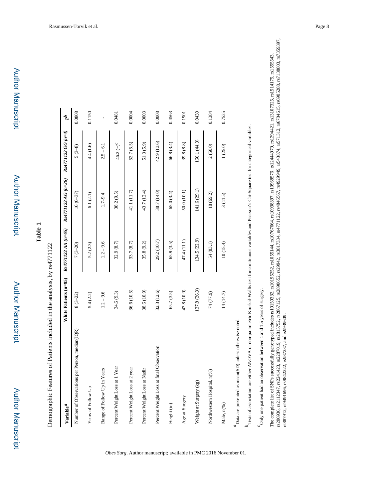| ا<br>ا      |
|-------------|
|             |
| l<br>I      |
|             |
|             |
|             |
| くうこうこう      |
|             |
|             |
|             |
|             |
| ----------- |
|             |
|             |
|             |
| ていていこくしゃ    |
|             |
|             |
|             |
|             |
|             |
|             |
|             |
|             |
| ֚֘֝         |
|             |
|             |
|             |
|             |
|             |
| ĺ           |
|             |

| Variable <sup>a</sup>                                               | White Patients (n=95) | Rs4771122 AA (n=65) | Rs4771122 AG (n=26) | $Rs4771122$ GG $(n=4)$ | ጟ      |
|---------------------------------------------------------------------|-----------------------|---------------------|---------------------|------------------------|--------|
| Number of Observations per Person, median(IQR)                      | $8(3-22)$             | $7(3-20)$           | $16(6-37)$          | $5(3-8)$               | 0.0808 |
| Years of Follow Up                                                  | 5.4(2.2)              | 5.2(2.3)            | 6.1(2.1)            | 4.4 (1.6)              | 0.1150 |
| Range of Follow Up in Years                                         | $1.2 - 9.6$           | $1.2 - 9.6$         | $1.7 - 9.4$         | $2.5 - 6.1$            |        |
| Percent Weight Loss at 1 Year                                       | 34.6 (9.3)            | 32.9 (8.7)          | 38.2 (9.5)          | $46.2 (-)^{c}$         | 0.0481 |
| Percent Weight Loss at 2 year                                       | 36.6 (10.5)           | 33.7 (8.7)          | 41.1 (11.7)         | 52.7 (5.5)             | 0.0004 |
| Percent Weight Loss at Nadir                                        | 38.6 (10.9)           | 35.8 (9.2)          | 43.7 (12.4)         | 51.3(5.9)              | 0.0003 |
| Percent Weight Loss at final Observation                            | 32.3 (12.6)           | 29.2 (10.7)         | 38.7 (14.0)         | 42.9 (13.6)            | 0.0008 |
| Height (in)                                                         | 65.7 (3.5)            | 65.9 (3.5)          | 65.0 (3.4)          | 66.8 (3.4)             | 0.4563 |
| Age at Surgery                                                      | 47.8 (10.9)           | 47.4 (11.1)         | 50.0 (10.1)         | 39.8 (8.8)             | 0.1901 |
| Weight at Surgery (kg)                                              | 137.8 (26.3)          | 134.5 (22.9)        | 141.6 (29.1)        | 166.1 (44.3)           | 0.0430 |
| Northwestern Hospital, n(%)                                         | 74 (77.9)             | 54 (83.1)           | 18(69.2)            | 2(50.0)                | 0.1384 |
| Male, n(%)                                                          | 14 (14.7)             | 10(15.4)            | 3(11.5)             | 1(25.0)                | 0.7525 |
| $a_{\text{Data are presented as mean(SD) unless otherwise noted.}}$ |                       |                     |                     |                        |        |

*Obes Surg*. Author manuscript; available in PMC 2016 November 01.

 $h_{\rm{ESS}}$  of association are either ANOVA or non-parametric Kruskal-Wallis test for continuous variables and Pearson's Chi-Square test for categorical variables. *b*Tests of association are either ANOVA or non-parametric Kruskal-Wallis test for continuous variables and Pearson's Chi-Square test for categorical variables.

 $\mathcal{C}_{\text{Only one patient had an observation between 1 and 1.5 years of surgery.}}$ *c*Only one patient had an observation between 1 and 1.5 years of surgery.

rs206936, rs2112347, rs2287019, rs2815752, rs2867125, rs2890652, rs3817334, rs4771122, rs4846567, rs48499994, rs543874, rs571312, rs6784615, rs6988805.88803, rs7138803, rs7358903, rs7359397, The complete list of SNPs successfully genotyped includes rs10150332, rs1019552, rs10767664, rs10938397, rs10968576, rs12444979, rs1294421, rs13107325, rs1514175, rs155543,<br>rs206936, rs2112347, rs2287019, rs2815752, rs2867 The complete list of SNPs successfully genotyped includes rs1015632, rs1015652, rs1055144, rs10968850, rs10244492, rs13194421, rs110175, rs1555543, rs1555543, rs887912, rs9491696, rs9842222, rs987237, and rs9939609. rs887912, rs9491696, rs9842222, rs987237, and rs9939609.